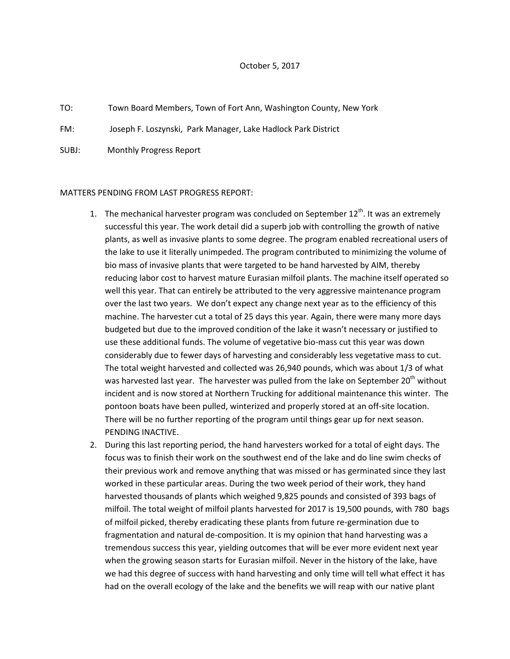## October 5, 2017

TO: Town Board Members, Town of Fort Ann, Washington County, New York

FM: Joseph F. Loszynski, Park Manager, Lake Hadlock Park District

SUBJ: Monthly Progress Report

## MATTERS PENDING FROM LAST PROGRESS REPORT:

- 1. The mechanical harvester program was concluded on September  $12<sup>th</sup>$ . It was an extremely successful this year. The work detail did a superb job with controlling the growth of native plants, as well as invasive plants to some degree. The program enabled recreational users of the lake to use it literally unimpeded. The program contributed to minimizing the volume of bio mass of invasive plants that were targeted to be hand harvested by AIM, thereby reducing labor cost to harvest mature Eurasian milfoil plants. The machine itself operated so well this year. That can entirely be attributed to the very aggressive maintenance program over the last two years. We don't expect any change next year as to the efficiency of this machine. The harvester cut a total of 25 days this year. Again, there were many more days budgeted but due to the improved condition of the lake it wasn't necessary or justified to use these additional funds. The volume of vegetative bio-mass cut this year was down considerably due to fewer days of harvesting and considerably less vegetative mass to cut. The total weight harvested and collected was 26,940 pounds, which was about 1/3 of what was harvested last year. The harvester was pulled from the lake on September 20<sup>th</sup> without incident and is now stored at Northern Trucking for additional maintenance this winter. The pontoon boats have been pulled, winterized and properly stored at an off-site location. There will be no further reporting of the program until things gear up for next season. PENDING INACTIVE.
- 2. During this last reporting period, the hand harvesters worked for a total of eight days. The focus was to finish their work on the southwest end of the lake and do line swim checks of their previous work and remove anything that was missed or has germinated since they last worked in these particular areas. During the two week period of their work, they hand harvested thousands of plants which weighed 9,825 pounds and consisted of 393 bags of milfoil. The total weight of milfoil plants harvested for 2017 is 19,500 pounds, with 780 bags of milfoil picked, thereby eradicating these plants from future re-germination due to fragmentation and natural de-composition. It is my opinion that hand harvesting was a tremendous success this year, yielding outcomes that will be ever more evident next year when the growing season starts for Eurasian milfoil. Never in the history of the lake, have we had this degree of success with hand harvesting and only time will tell what effect it has had on the overall ecology of the lake and the benefits we will reap with our native plant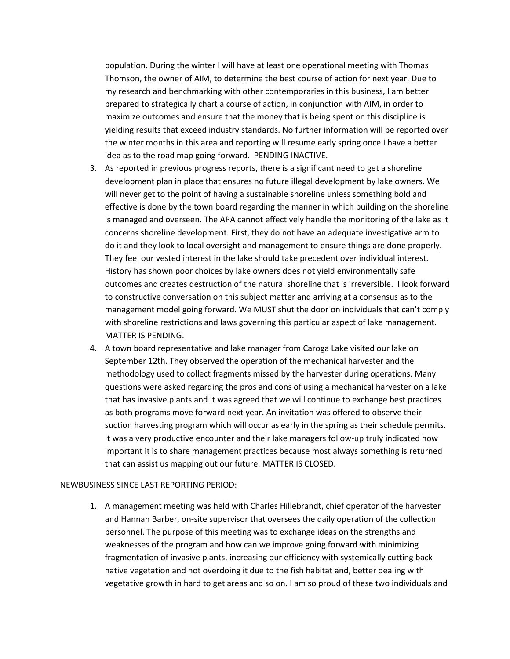population. During the winter I will have at least one operational meeting with Thomas Thomson, the owner of AIM, to determine the best course of action for next year. Due to my research and benchmarking with other contemporaries in this business, I am better prepared to strategically chart a course of action, in conjunction with AIM, in order to maximize outcomes and ensure that the money that is being spent on this discipline is yielding results that exceed industry standards. No further information will be reported over the winter months in this area and reporting will resume early spring once I have a better idea as to the road map going forward. PENDING INACTIVE.

- 3. As reported in previous progress reports, there is a significant need to get a shoreline development plan in place that ensures no future illegal development by lake owners. We will never get to the point of having a sustainable shoreline unless something bold and effective is done by the town board regarding the manner in which building on the shoreline is managed and overseen. The APA cannot effectively handle the monitoring of the lake as it concerns shoreline development. First, they do not have an adequate investigative arm to do it and they look to local oversight and management to ensure things are done properly. They feel our vested interest in the lake should take precedent over individual interest. History has shown poor choices by lake owners does not yield environmentally safe outcomes and creates destruction of the natural shoreline that is irreversible. I look forward to constructive conversation on this subject matter and arriving at a consensus as to the management model going forward. We MUST shut the door on individuals that can't comply with shoreline restrictions and laws governing this particular aspect of lake management. MATTER IS PENDING.
- 4. A town board representative and lake manager from Caroga Lake visited our lake on September 12th. They observed the operation of the mechanical harvester and the methodology used to collect fragments missed by the harvester during operations. Many questions were asked regarding the pros and cons of using a mechanical harvester on a lake that has invasive plants and it was agreed that we will continue to exchange best practices as both programs move forward next year. An invitation was offered to observe their suction harvesting program which will occur as early in the spring as their schedule permits. It was a very productive encounter and their lake managers follow-up truly indicated how important it is to share management practices because most always something is returned that can assist us mapping out our future. MATTER IS CLOSED.

## NEWBUSINESS SINCE LAST REPORTING PERIOD:

1. A management meeting was held with Charles Hillebrandt, chief operator of the harvester and Hannah Barber, on-site supervisor that oversees the daily operation of the collection personnel. The purpose of this meeting was to exchange ideas on the strengths and weaknesses of the program and how can we improve going forward with minimizing fragmentation of invasive plants, increasing our efficiency with systemically cutting back native vegetation and not overdoing it due to the fish habitat and, better dealing with vegetative growth in hard to get areas and so on. I am so proud of these two individuals and